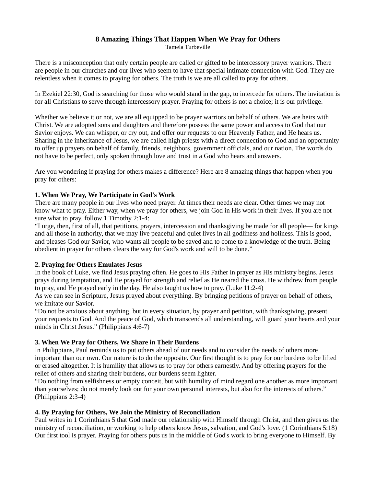# 8 Amazing Things That Happen When We Pray for Others

Tamela Turbeville

There is a misconception that only certain people are called or gifted to be intercessory prayer warriors. There are people in our churches and our lives who seem to have that special intimate connection with God. They are relentless when it comes to praying for others. The truth is we are all called to pray for others.

In Ezekiel 22:30, God is searching for those who would stand in the gap, to intercede for others. The invitation is for all Christians to serve through intercessory prayer. Praying for others is not a choice; it is our privilege.

Whether we believe it or not, we are all equipped to be prayer warriors on behalf of others. We are heirs with Christ. We are adopted sons and daughters and therefore possess the same power and access to God that our Savior enjoys. We can whisper, or cry out, and offer our requests to our Heavenly Father, and He hears us. Sharing in the inheritance of Jesus, we are called high priests with a direct connection to God and an opportunity to offer up prayers on behalf of family, friends, neighbors, government officials, and our nation. The words do not have to be perfect, only spoken through love and trust in a God who hears and answers.

Are you wondering if praying for others makes a difference? Here are 8 amazing things that happen when you pray for others:

### 1. When We Pray, We Participate in God's Work

There are many people in our lives who need prayer. At times their needs are clear. Other times we may not know what to pray. Either way, when we pray for others, we join God in His work in their lives. If you are not sure what to pray, follow 1 Timothy 2:1-4:

"I urge, then, first of all, that petitions, prayers, intercession and thanksgiving be made for all people— for kings and all those in authority, that we may live peaceful and quiet lives in all godliness and holiness. This is good, and pleases God our Savior, who wants all people to be saved and to come to a knowledge of the truth. Being obedient in prayer for others clears the way for God's work and will to be done."

#### 2. Praying for Others Emulates Jesus

In the book of Luke, we find Jesus praying often. He goes to His Father in prayer as His ministry begins. Jesus prays during temptation, and He prayed for strength and relief as He neared the cross. He withdrew from people to pray, and He prayed early in the day. He also taught us how to pray. (Luke 11:2-4)

As we can see in Scripture, Jesus prayed about everything. By bringing petitions of prayer on behalf of others, we imitate our Savior.

"Do not be anxious about anything, but in every situation, by prayer and petition, with thanksgiving, present your requests to God. And the peace of God, which transcends all understanding, will guard your hearts and your minds in Christ Jesus." (Philippians 4:6-7)

## 3. When We Pray for Others, We Share in Their Burdens

In Philippians, Paul reminds us to put others ahead of our needs and to consider the needs of others more important than our own. Our nature is to do the opposite. Our first thought is to pray for our burdens to be lifted or erased altogether. It is humility that allows us to pray for others earnestly. And by offering prayers for the relief of others and sharing their burdens, our burdens seem lighter.

"Do nothing from selfishness or empty conceit, but with humility of mind regard one another as more important than yourselves; do not merely look out for your own personal interests, but also for the interests of others." (Philippians 2:3-4)

## 4. By Praying for Others, We Join the Ministry of Reconciliation

Paul writes in 1 Corinthians 5 that God made our relationship with Himself through Christ, and then gives us the ministry of reconciliation, or working to help others know Jesus, salvation, and God's love. (1 Corinthians 5:18) Our first tool is prayer. Praying for others puts us in the middle of God's work to bring everyone to Himself. By